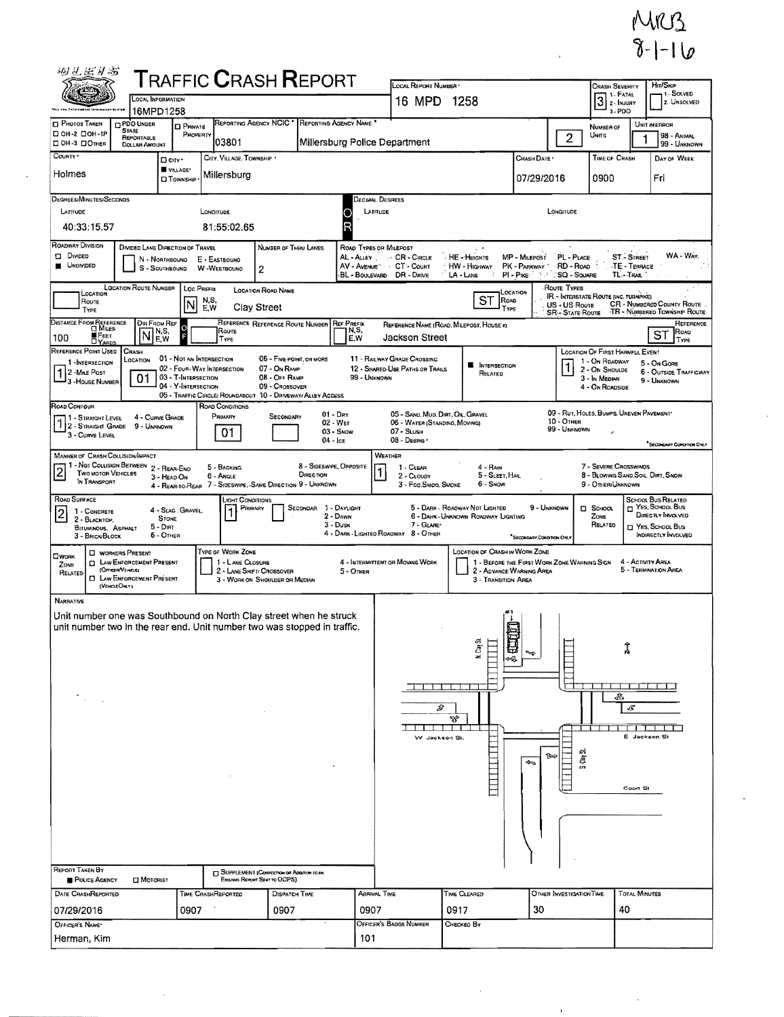

| 羽兰尼日号                                                                                                                                                                                                                                                                                                                                                                   |                                                                       |                                                   |                                               | ${\sf T}$ RAFFIC ${\sf C}$ RASH ${\sf R}$ EPORT                                                                                                |                                              |                                                            |                                            |                                             |                                                                                  |                                      |                                                            |  |
|-------------------------------------------------------------------------------------------------------------------------------------------------------------------------------------------------------------------------------------------------------------------------------------------------------------------------------------------------------------------------|-----------------------------------------------------------------------|---------------------------------------------------|-----------------------------------------------|------------------------------------------------------------------------------------------------------------------------------------------------|----------------------------------------------|------------------------------------------------------------|--------------------------------------------|---------------------------------------------|----------------------------------------------------------------------------------|--------------------------------------|------------------------------------------------------------|--|
|                                                                                                                                                                                                                                                                                                                                                                         | LOCAL INFORMATION                                                     |                                                   |                                               |                                                                                                                                                |                                              | LOCAL REPORT NUMBER                                        |                                            |                                             | <b>CRASH SEVERITY</b><br>1 - FATAL<br>3<br>2 - INJURY                            | HIT/SKIP<br>1. SOLVED<br>2. UNSOLVED |                                                            |  |
|                                                                                                                                                                                                                                                                                                                                                                         | 16MPD1258                                                             |                                                   |                                               |                                                                                                                                                |                                              |                                                            | 1258<br>16 MPD                             |                                             |                                                                                  |                                      |                                                            |  |
| <b>CI PHOTOS TAKEN</b><br>□ ОН-2 □ ОН-1Р                                                                                                                                                                                                                                                                                                                                | PDO UNDER<br><b>STATE</b>                                             | <b>D</b> PRIVATE                                  | REPORTING AGENCY NCIC'                        | REPORTING AGENCY NAME *                                                                                                                        |                                              |                                                            | NUMBER OF                                  |                                             | UNIT IN ERROR                                                                    |                                      |                                                            |  |
| □ 0H-3 □ Отнек                                                                                                                                                                                                                                                                                                                                                          | <b>REPORTABLE</b><br><b>DOLLAR AMOUNT</b>                             | PROPERTY                                          | 03801                                         |                                                                                                                                                | Millersburg Police Department                |                                                            |                                            |                                             | $\overline{c}$<br>UNITS                                                          |                                      | <b>98 - ANNAL</b><br>99 - UNKNOWN                          |  |
| COUNTY *                                                                                                                                                                                                                                                                                                                                                                | D CITY'                                                               |                                                   | CITY, VILLAGE, TOWNSHIP                       |                                                                                                                                                |                                              |                                                            |                                            | CRASH DATE *                                | TIME OF CRASH                                                                    |                                      | DAY OF WEEK                                                |  |
| Holmes                                                                                                                                                                                                                                                                                                                                                                  |                                                                       | W VILLAGE*<br><b>D</b> TOWNSHIP                   | Millersburg                                   |                                                                                                                                                |                                              |                                                            |                                            | 07/29/2016                                  | 0900                                                                             |                                      | Fri                                                        |  |
| DEGREES/MINUTES/SECONDS                                                                                                                                                                                                                                                                                                                                                 |                                                                       |                                                   |                                               |                                                                                                                                                | Decimal Degrees                              |                                                            |                                            |                                             |                                                                                  |                                      |                                                            |  |
| LATITUDE<br>40:33:15.57                                                                                                                                                                                                                                                                                                                                                 |                                                                       |                                                   | LONGITUDE<br>81:55:02.65                      |                                                                                                                                                | LATITUDE<br>Ο<br>R                           |                                                            |                                            | LONGITUDE                                   |                                                                                  |                                      |                                                            |  |
| ROADWAY DIVISION<br><b>DI DIVIDED</b>                                                                                                                                                                                                                                                                                                                                   | DIVIDED LANE DIRECTION OF TRAVEL                                      |                                                   |                                               | NUMBER OF THRU LANES                                                                                                                           | ROAD TYPES OR MILEPOST                       |                                                            |                                            |                                             |                                                                                  |                                      | WA - WAY.                                                  |  |
| AL - ALLEY CR - CIRCLE<br>MP - MILEPOST<br>PL - PLACE<br><b>ST.- STREET</b><br>HE - HEIGHTS<br>N - Northbound<br>E - EASTBOUND<br><b>UNOMIDED</b><br>AV - Avenue CT - Count<br>HW - Highway<br>PK - PARKWAY<br>RD - Road<br>TE - TERRACE<br><b>W-WESTBOUND</b><br>S - SOUTHBOUND<br>2<br>BL - BOULEVARD DR - DRIVE<br>PI - PIKE<br>SQ - SQUARE<br>TL-TRAIL<br>LA - LANE |                                                                       |                                                   |                                               |                                                                                                                                                |                                              |                                                            |                                            |                                             |                                                                                  |                                      |                                                            |  |
| LOCATION ROUTE NUMBER<br><b>ROUTE TYPES</b><br>LOC PREFIX<br><b>LOCATION ROAD NAME</b><br>LOCATION<br>LOCATION<br>IR - INTERSTATE ROUTE (INC. TURNPIKE)                                                                                                                                                                                                                 |                                                                       |                                                   |                                               |                                                                                                                                                |                                              |                                                            |                                            |                                             |                                                                                  |                                      |                                                            |  |
| Route<br>TYPE                                                                                                                                                                                                                                                                                                                                                           |                                                                       | N,S,<br>Ν<br>E,W                                  | Clay Street                                   |                                                                                                                                                |                                              |                                                            | ST<br>Road<br>TYPE                         |                                             | US - US Route<br><b>SR - STATE ROUTE</b>                                         |                                      | CR - NUMBERED COUNTY ROUTE<br>TR - NUMBERED TOWNSHIP ROUTE |  |
| DISTANCE FROM REFERENCE                                                                                                                                                                                                                                                                                                                                                 | <b>DIR FROM REF</b><br>N,S,                                           | ol                                                | Roure                                         | REFERENCE REFERENCE ROUTE NUMBER                                                                                                               | <b>REF PREFIX</b><br>N,S,                    |                                                            | REFERENCE NAME (ROAD, MILEPOST, HOUSE 4)   |                                             |                                                                                  |                                      | REFERENCE<br>Roap                                          |  |
| <b>FEET</b><br>100                                                                                                                                                                                                                                                                                                                                                      | N<br>E.W                                                              |                                                   | TYPE                                          |                                                                                                                                                | E,W                                          | Jackson Street                                             |                                            |                                             |                                                                                  |                                      | SТ<br>Type                                                 |  |
| REFERENCE POINT USED<br>1 - INTERSECTION                                                                                                                                                                                                                                                                                                                                | CRASH<br>LOCATION                                                     | 01 - NOT AN INTERSECTION                          |                                               | 05 - Five-POINT, OR MORE                                                                                                                       |                                              | 11 - RAILWAY GRADE CROSSING                                | INTERSECTION                               |                                             | <b>LOCATION OF FIRST HARMFUL EVENT</b><br>1 - On ROADWAY                         |                                      | 5 - On Gore                                                |  |
| 1 2 - MILE POST<br>3 - House NUMBER                                                                                                                                                                                                                                                                                                                                     | 01                                                                    | 02 - FOUR WAY INTERSECTION<br>03 - T-INTERSECTION |                                               | 07 - On RAMP<br>08 - Off RAMP                                                                                                                  | 99 - UNKNOWN                                 | 12 - SHARED-USE PATHS OR TRAILS                            | RELATED                                    |                                             | 2 - On Shoulde<br>3 - In Median                                                  |                                      | <b>6 - OUTSIDE TRAFFICWAY</b><br>9 - UNKNOWN               |  |
|                                                                                                                                                                                                                                                                                                                                                                         |                                                                       | 04 - Y-INTERSECTION                               |                                               | 09 - Crossover<br>05 - TRAFFIC CIRCLE/ ROUNDABOUT 10 - DRIVEWAY/ ALLEY ACCESS                                                                  |                                              |                                                            |                                            |                                             | 4 - On ROADSIDE                                                                  |                                      |                                                            |  |
| ROAD CONTOUR<br>1 - Straight Level                                                                                                                                                                                                                                                                                                                                      | 4 - CURVE GRADE                                                       |                                                   | <b>ROAD CONDITIONS</b><br>PRIMARY             | $01 - \text{Dry}$<br>SECONDARY                                                                                                                 |                                              | 05 - SANO, MUD, DIRT, OIL, GRAVEL                          |                                            |                                             | 09 - RUT, HOLES, BUMPS, UNEVEN PAVEMENT                                          |                                      |                                                            |  |
| 3 - CURVE LEVEL                                                                                                                                                                                                                                                                                                                                                         | 9 - UNKNOWN                                                           |                                                   | 01                                            | 02 - Wer<br>04 - Ice                                                                                                                           | $03 -$ Snow                                  | 06 - WATER (STANDING, MOVING)<br>07 - SLUSH<br>08 - DEBRIS |                                            | 10 - Отнев                                  | 99 - UNKNOWN                                                                     |                                      |                                                            |  |
| <b>MANNER OF CRASH COLLISION/IMPACT</b>                                                                                                                                                                                                                                                                                                                                 |                                                                       |                                                   |                                               |                                                                                                                                                |                                              | WEATHER                                                    |                                            |                                             |                                                                                  |                                      | SECONDARY CONDITION ONLY                                   |  |
| 1 - Not Collision Between 2 - Rear-End<br>$\overline{c}$<br>TWO MOTOR VEHICLES<br>IN TRANSPORT                                                                                                                                                                                                                                                                          | 3 - HEAO-ON                                                           |                                                   | 5 - BACKING<br>6 - Angle                      | 8 - SIDESWIPE, OPPOSITE<br>DIRECTION<br>4 - REAR-TO-REAR 7 - SIDESWIPE, SAME DIRECTION 9 - UNKNOWN                                             |                                              | 1 - CLEAR<br>2 - CLOUDY<br>3 - Fog.Sugg. SMOKE             | $4 - R$ AlN<br>5 - SLEET, HAIL<br>6 - Snow |                                             | 7 - SEVERE CROSSWINDS<br>8 - BLOWING SAND, SOIL, DIRT, SNOW<br>9 - Other Unknown |                                      |                                                            |  |
| ROAD SURFACE                                                                                                                                                                                                                                                                                                                                                            |                                                                       |                                                   | JGHT CONDITIONS<br>PRIMARY                    | SECONDAR 1 - DAYLIGHT                                                                                                                          |                                              |                                                            | 5 - DARK - ROAOWAY NOT LIGHTED             | 9 - Unknown                                 | El School                                                                        |                                      | <b>SCHOOL BUS RELATED</b><br>YES, SCHOOL Bus               |  |
| 1 - CONCRETE<br>2 - BLACKTOP.                                                                                                                                                                                                                                                                                                                                           | <b>STONE</b>                                                          | 4 - SLAG. GRAVEL.                                 |                                               |                                                                                                                                                | 2 - DAWN<br>$3 -$ Dusk                       | 7 - GLARE                                                  | 6 - DARK - UNKNOWN ROADWAY LIGHTING        |                                             | ZONE<br>RELATED                                                                  |                                      | DIRECTLY INVOLVED<br>YES, SCHOOL BUS                       |  |
| <b>BITUMINOUS, ASPHALT</b><br>3 - Brick/Block                                                                                                                                                                                                                                                                                                                           | $5 - D$ IRT<br>6 - OTHER                                              |                                                   |                                               |                                                                                                                                                |                                              | 4 - DARK - LIGHTEO ROADWAY 8 - OTHER                       |                                            | "SECONDARY CONDITION ONLY                   |                                                                                  |                                      | <b>INDIRECTLY INVOLVED</b>                                 |  |
| <b>D</b> WORKERS PRESENT<br>OWORK                                                                                                                                                                                                                                                                                                                                       |                                                                       |                                                   | TYPE OF WORK ZONE                             |                                                                                                                                                |                                              |                                                            | <b>LOCATION OF CRASH IN WORK ZONE</b>      |                                             |                                                                                  |                                      |                                                            |  |
| ZONE<br><b>CIFFICER VENDELER</b><br>RELATED                                                                                                                                                                                                                                                                                                                             | <b>FT LAW ENFORCEMENT PRESENT</b><br><b>I LAW ENFORCEMENT PRESENT</b> |                                                   | 1 - LANE CLOSURE<br>2 - LANE SHIFT/ CROSSOVER |                                                                                                                                                | 4 - INTERMITTENT OR MOVING WORK<br>5 - OTHER |                                                            | 2 - ADVANCE WARNING AREA                   | 1 - BEFORE THE FIRST WORK ZONE WARNING SIGN |                                                                                  | 4 - ACTIVITY AREA                    | 5 - TERMINATION AREA                                       |  |
| (VENCLE ONLY)                                                                                                                                                                                                                                                                                                                                                           |                                                                       |                                                   |                                               | 3 - WORK ON SHOULDER OR MEDIAN                                                                                                                 |                                              |                                                            | 3 - TRANSITION AREA                        |                                             |                                                                                  |                                      |                                                            |  |
| <b>NARRATIVE</b>                                                                                                                                                                                                                                                                                                                                                        |                                                                       |                                                   |                                               |                                                                                                                                                |                                              |                                                            |                                            |                                             |                                                                                  |                                      |                                                            |  |
|                                                                                                                                                                                                                                                                                                                                                                         |                                                                       |                                                   |                                               | Unit number one was Southbound on North Clay street when he struck<br>unit number two in the rear end. Unit number two was stopped in traffic. |                                              |                                                            |                                            |                                             |                                                                                  |                                      |                                                            |  |
|                                                                                                                                                                                                                                                                                                                                                                         |                                                                       |                                                   |                                               |                                                                                                                                                |                                              |                                                            | J,                                         |                                             | $\mathsf{H}$                                                                     |                                      |                                                            |  |
|                                                                                                                                                                                                                                                                                                                                                                         |                                                                       |                                                   |                                               |                                                                                                                                                |                                              |                                                            | น Clay<br>لابتنا<br>લ્લા                   | ∾                                           |                                                                                  |                                      |                                                            |  |
|                                                                                                                                                                                                                                                                                                                                                                         |                                                                       |                                                   |                                               |                                                                                                                                                |                                              |                                                            |                                            |                                             |                                                                                  |                                      |                                                            |  |
|                                                                                                                                                                                                                                                                                                                                                                         |                                                                       |                                                   |                                               |                                                                                                                                                |                                              | ا ہیں ہیں ہیں سے بنا ان                                    |                                            |                                             | ┯┯┯┯                                                                             | £,                                   |                                                            |  |
|                                                                                                                                                                                                                                                                                                                                                                         |                                                                       |                                                   |                                               |                                                                                                                                                |                                              | D                                                          |                                            |                                             |                                                                                  | s                                    |                                                            |  |
|                                                                                                                                                                                                                                                                                                                                                                         |                                                                       |                                                   |                                               |                                                                                                                                                |                                              |                                                            | ٢P                                         |                                             |                                                                                  |                                      |                                                            |  |
|                                                                                                                                                                                                                                                                                                                                                                         |                                                                       |                                                   |                                               |                                                                                                                                                |                                              | W. Jackson St.                                             |                                            |                                             |                                                                                  | E Jackson St                         |                                                            |  |
|                                                                                                                                                                                                                                                                                                                                                                         |                                                                       |                                                   |                                               |                                                                                                                                                |                                              |                                                            |                                            | 1⊶<br>4                                     | Cian<br>Ci<br>crì.                                                               |                                      |                                                            |  |
|                                                                                                                                                                                                                                                                                                                                                                         |                                                                       |                                                   |                                               |                                                                                                                                                |                                              |                                                            |                                            |                                             |                                                                                  |                                      |                                                            |  |
|                                                                                                                                                                                                                                                                                                                                                                         |                                                                       |                                                   |                                               |                                                                                                                                                |                                              |                                                            |                                            |                                             |                                                                                  | Court St                             |                                                            |  |
|                                                                                                                                                                                                                                                                                                                                                                         |                                                                       |                                                   |                                               |                                                                                                                                                |                                              |                                                            |                                            |                                             |                                                                                  |                                      |                                                            |  |
|                                                                                                                                                                                                                                                                                                                                                                         |                                                                       |                                                   |                                               |                                                                                                                                                |                                              |                                                            |                                            |                                             |                                                                                  |                                      |                                                            |  |
|                                                                                                                                                                                                                                                                                                                                                                         |                                                                       |                                                   |                                               |                                                                                                                                                |                                              |                                                            |                                            |                                             |                                                                                  |                                      |                                                            |  |
|                                                                                                                                                                                                                                                                                                                                                                         |                                                                       |                                                   |                                               |                                                                                                                                                |                                              |                                                            |                                            |                                             |                                                                                  |                                      |                                                            |  |
| REPORT TAKEN BY<br><b>POLICE AGENCY</b>                                                                                                                                                                                                                                                                                                                                 | <b>CI MOTORIST</b>                                                    |                                                   | EXISTING REPORT SENT TO CIDPS)                | <b>TJ SUPPLEMENT (CORRECTION OF ADDITION TO AN</b>                                                                                             |                                              |                                                            |                                            |                                             |                                                                                  |                                      |                                                            |  |
| DATE CRASHREPORTED                                                                                                                                                                                                                                                                                                                                                      |                                                                       |                                                   | TIME CRASHREPORTED                            | DISPATCH TIME                                                                                                                                  | Arrival Time                                 |                                                            | TIME CLEARED                               |                                             | OTHER INVESTIGATION TIME                                                         | Total Minutes                        |                                                            |  |
| 07/29/2016                                                                                                                                                                                                                                                                                                                                                              |                                                                       | 0907                                              |                                               | 0907                                                                                                                                           | 0907                                         |                                                            | 0917                                       | 30                                          |                                                                                  | 40                                   |                                                            |  |
| OFFICER'S NAME'                                                                                                                                                                                                                                                                                                                                                         |                                                                       |                                                   |                                               |                                                                                                                                                |                                              | Officer's Badge Number                                     | Снескео Ву                                 |                                             |                                                                                  |                                      |                                                            |  |
| Herman, Kim                                                                                                                                                                                                                                                                                                                                                             |                                                                       |                                                   |                                               |                                                                                                                                                | 101                                          |                                                            |                                            |                                             |                                                                                  |                                      |                                                            |  |

 $\bar{1}$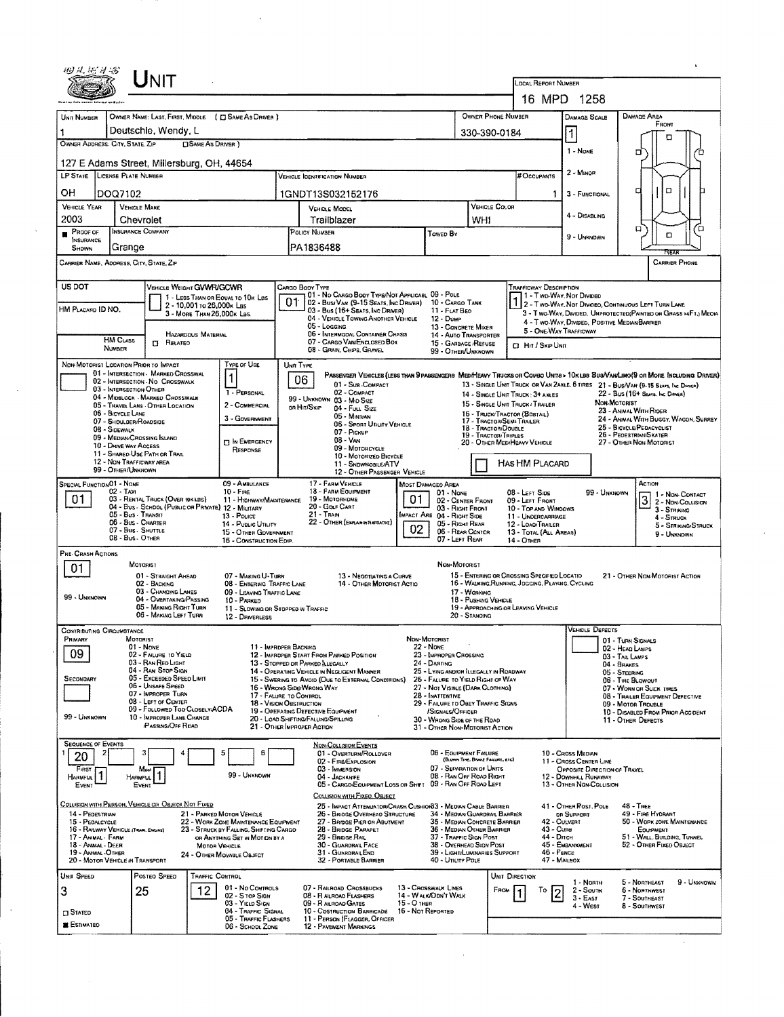|                                                                                              |                                                                                           |                                                                                                      |                                                                             |                                                                              | <b>LOCAL REPORT NUMBER</b>                                                                                                                                                                                                 | 16 MPD 1258                                             |                                                                                                                                                                                                                     |  |  |  |  |
|----------------------------------------------------------------------------------------------|-------------------------------------------------------------------------------------------|------------------------------------------------------------------------------------------------------|-----------------------------------------------------------------------------|------------------------------------------------------------------------------|----------------------------------------------------------------------------------------------------------------------------------------------------------------------------------------------------------------------------|---------------------------------------------------------|---------------------------------------------------------------------------------------------------------------------------------------------------------------------------------------------------------------------|--|--|--|--|
| OWNER NAME: LAST, FIRST, MIDDLE ( C SAME AS DRIVER )<br>UNIT NUMBER                          |                                                                                           |                                                                                                      |                                                                             | OWNER PHONE NUMBER                                                           |                                                                                                                                                                                                                            | <b>DAMAGE SCALE</b>                                     | DAMAGE AREA                                                                                                                                                                                                         |  |  |  |  |
| Deutschle, Wendy, L                                                                          |                                                                                           |                                                                                                      |                                                                             | 330-390-0184                                                                 |                                                                                                                                                                                                                            | 1                                                       | FRONT                                                                                                                                                                                                               |  |  |  |  |
| OWNER ADDRESS. CITY, STATE, ZIP                                                              | <b>CISAME AS DRIVER</b> )                                                                 |                                                                                                      |                                                                             | 1 - None                                                                     | n<br>□                                                                                                                                                                                                                     |                                                         |                                                                                                                                                                                                                     |  |  |  |  |
| 127 E Adams Street, Millersburg, OH, 44654                                                   |                                                                                           |                                                                                                      |                                                                             |                                                                              |                                                                                                                                                                                                                            |                                                         |                                                                                                                                                                                                                     |  |  |  |  |
| LP STATE LICENSE PLATE NUMBER                                                                |                                                                                           | <b>VEHICLE IDENTIFICATION NUMBER</b>                                                                 |                                                                             |                                                                              | # Occupants                                                                                                                                                                                                                | $2 -$ MINOR                                             |                                                                                                                                                                                                                     |  |  |  |  |
| OН<br>DOQ7102                                                                                |                                                                                           | 1GNDT13S032152176                                                                                    |                                                                             | 1                                                                            | 3 - FUNCTIONAL                                                                                                                                                                                                             | □<br>□                                                  |                                                                                                                                                                                                                     |  |  |  |  |
| <b>VEHICLE YEAR</b><br><b>VEHICLE MAKE</b><br>2003<br>Chevrolet                              |                                                                                           | VEHICLE MODEL<br>Trailblazer                                                                         |                                                                             | <b>VEHICLE COLOR</b><br>WHI                                                  |                                                                                                                                                                                                                            | 4 - DISABLING                                           |                                                                                                                                                                                                                     |  |  |  |  |
| <b>INSURANCE COMPANY</b><br>PROOF OF<br><b>INSURANCE</b>                                     |                                                                                           | POLICY NUMBER                                                                                        | Towen By                                                                    |                                                                              |                                                                                                                                                                                                                            | 9 - Unknown                                             | ้ต<br>о<br>о                                                                                                                                                                                                        |  |  |  |  |
| Grange<br>SHOWN                                                                              |                                                                                           | PA1836488                                                                                            |                                                                             |                                                                              |                                                                                                                                                                                                                            |                                                         | ੨ਵਨ                                                                                                                                                                                                                 |  |  |  |  |
| Carrier Name, Address, City, State, Zip                                                      |                                                                                           |                                                                                                      |                                                                             |                                                                              |                                                                                                                                                                                                                            |                                                         | <b>CARRIER PHONE</b>                                                                                                                                                                                                |  |  |  |  |
| US DOT<br>VEMICLE WEIGHT GVWR/GCWR                                                           | 1 - LESS THAN OR EQUAL TO 10K LBS                                                         | <b>CARGO BODY TYPE</b><br>01 - No Cargo Body Type/Not Applicabl 09 - Pole                            |                                                                             |                                                                              | TRAFFICWAY DESCRIPTION                                                                                                                                                                                                     |                                                         |                                                                                                                                                                                                                     |  |  |  |  |
| HM PLACARD ID NO.                                                                            | 2 - 10,001 to 26,000x Las<br>3 - MORE THAN 26,000K LBS                                    | 01<br>02 - Busi VAN (9-15 Seats, Inc Driver) 10 - CARGO TANK<br>03 - Bus (16+ Seats, Inc Driver)     | 11 - FLAT BEO                                                               |                                                                              | POLITY WONDER 1-TWO WAY, NOT DIVIDED<br>2 - Two-Way, Not Divideo, Continuous Left Turn Lane<br>3 - Two-Way, Divideo, UNPROTECTEO(PAINTED OR GRASS >4FT.) MEOIA                                                             |                                                         |                                                                                                                                                                                                                     |  |  |  |  |
|                                                                                              |                                                                                           | 04 - VEHICLE TOWING ANOTHER VEHICLE<br>05 - Logging                                                  | $12 - D$ uMP<br>13 - CONCRETE MIXER                                         |                                                                              | 5 - ONE-WAY TRAFFICWAY                                                                                                                                                                                                     | 4 - TWO-WAY, DIVIDED, POSITIVE MEDIAN BARRIER           |                                                                                                                                                                                                                     |  |  |  |  |
| <b>HM CLASS</b><br>$\Box$ Related<br>NUMBER                                                  | <b>HAZARDOUS MATERIAL</b>                                                                 | 06 - INTERMODAL CONTAINER CHASIS<br>07 - CARGO VAN/ENCLOSED BOX<br>08 - GRAIN, CHIPS, GRAVEL         | 14 - Auto Transporter<br>15 - GARBAGE /REFUSE<br>99 - OTHER/UNKNOWN         |                                                                              | <b>D. Hit / Skip Unit</b>                                                                                                                                                                                                  |                                                         |                                                                                                                                                                                                                     |  |  |  |  |
| NON-MOTORIST LOCATION PRIOR TO IMPACT                                                        | <b>TYPE OF USE</b>                                                                        | UNIT TYPE                                                                                            |                                                                             |                                                                              |                                                                                                                                                                                                                            |                                                         |                                                                                                                                                                                                                     |  |  |  |  |
| 01 - INTERSECTION - MARKED CROSSWAL<br>02 - INTERSECTION NO CROSSWALK                        |                                                                                           | 06<br>01 - Sus COMPACT                                                                               |                                                                             |                                                                              |                                                                                                                                                                                                                            |                                                         | PASSENGER VEHICLES (LESS THAN 9 PASSENGERS MED/HEAVY TRUCKS OR COMBO UNITS > 10KLBS BUS/VAN/LIMO(9 OR MORE INCLUDING DRIVER)<br>13 - SINGLE UNIT TRUCK OR VAN ZAXLE, 6 TIRES 21 - BUS/VAN (9-15 SEAFS, INC. DAIVEN) |  |  |  |  |
| 03 - INTERSECTION OTHER<br>04 - MIDBLOCK - MARKED CROSSWALK                                  | 1 - PERSONAL<br>2 - COMMERCIAL                                                            | 02 - COMPACT<br>99 - UNKNOWN 03 - MID SIZE                                                           |                                                                             |                                                                              | 22 - Bus (16+ Stats, Inc Dongs)<br>14 - SINGLE UNIT TRUCK: 3+ AXLES<br>NON-MOTORIST<br>15 - SINGLE UNIT TRUCK / TRAILER<br>23 - ANIMAL WITH RIDER<br>16 - TRUCK/TRACTOR (BOBTAIL)<br>24 - ANIMAL WITH BUGGY, WAGON, SURREY |                                                         |                                                                                                                                                                                                                     |  |  |  |  |
| 05 - TRAVEL LANE - OTHER LOCATION<br>06 - BICYCLE LANE<br>07 - SHOULDER/ROADSIDE             | 3 - GOVERNMENT                                                                            | on Hit/Skip<br>04 - Full SIZE<br>05 - Minivan                                                        |                                                                             | 17 - TRACTOR/SEMI-TRAILER                                                    |                                                                                                                                                                                                                            |                                                         |                                                                                                                                                                                                                     |  |  |  |  |
| 08 - Sidewalk<br>09 - MEDIAN CROSSING ISLAND                                                 |                                                                                           | 06 - Sport Utility Vehicle<br>07 - PICKUP<br>$08 - Van$                                              |                                                                             | 18 - TRACTOR/DOUBLE<br>19 - TRACTOR/TRIPLES                                  | 25 - BICYCLE/PEDACYCLIST<br>26 - PEDESTRIAN SKATER                                                                                                                                                                         |                                                         |                                                                                                                                                                                                                     |  |  |  |  |
| 10 - Drave way Access<br>11 - SHARED-USE PATH OR TRAIL                                       | <b>13 IN EMERGENCY</b><br>RESPONSE                                                        | 09 - MOTORCYCLE<br>10 - MOTORIZED BICYCLE                                                            |                                                                             | 20 - OTHER MEDIMEAVY VEHICLE                                                 |                                                                                                                                                                                                                            |                                                         | 27 - OTHER NON-MOTORIST                                                                                                                                                                                             |  |  |  |  |
| 12 - NON-TRAFFICWAY AREA<br>99 - OTHER/UNKNOWN                                               |                                                                                           | 11 - SNDWMOBILE/ATV<br>12 - OTHER PASSENGER VEHICLE                                                  |                                                                             |                                                                              | HAS HM PLACARD                                                                                                                                                                                                             |                                                         |                                                                                                                                                                                                                     |  |  |  |  |
| Special Function 01 - None<br>$02 - TAX1$                                                    | 09 - AMBULANCE<br>$10 -$ Fine                                                             | 17 - FARM VEHICLE<br>18 - FARM EQUIPMENT                                                             | <b>MOST DAMAGEO AREA</b><br>$01 - None$                                     |                                                                              | 08 - LEFT SIDE                                                                                                                                                                                                             | 99 - UNKNOWN                                            | ACTION                                                                                                                                                                                                              |  |  |  |  |
| 01<br>03 - RENTAL TRUCK (OVER 10KLBS)<br>04 - Bus - SCHDOL (PUBLIC OR PRIVATE) 12 - MILITARY | 11 - HIGHWAY/MAINTENANCE                                                                  | 19 - Мотояноме<br>20 - Gour Cart                                                                     | 02 - CENTER FRONT<br>03 - Right Front                                       | 09 - LEFT FRONT<br>10 - TOP AND WINDOWS                                      |                                                                                                                                                                                                                            | $\boxed{3}$ $1 - \text{Now-Convert}$<br>3 - STRIKING    |                                                                                                                                                                                                                     |  |  |  |  |
| 05 - Bus Transit<br>06 - Bus - Charter                                                       | 13 - POLICE<br>14 - PUBLIC UTILITY                                                        | $21 -$ Tran<br>22 - OTHER (EXPLAN IN MARRATIVE)                                                      | IMPACT ARE 04 - RIGHT SIDE<br>05 - RIGHT REAR                               | 11 - UNDERCARRIAGE<br>12 - LOAD/TRAILER                                      | $4 -$ Struck<br>5 - STRIKING/STRUCK                                                                                                                                                                                        |                                                         |                                                                                                                                                                                                                     |  |  |  |  |
| 07 - Bus - SHUTTLE<br>08 - Bus - OTHER                                                       | 15 - OTHER GOVERNMENT<br>16 - CONSTRUCTION EOIP.                                          |                                                                                                      | 02<br>06 - REAR CENTER<br>07 - LEFT REAR                                    |                                                                              | 13 - TOTAL (ALL AREAS)<br>14 - OTHER                                                                                                                                                                                       |                                                         | 9 - UNKNOWN                                                                                                                                                                                                         |  |  |  |  |
| PRE-CRASH ACTIONS                                                                            |                                                                                           |                                                                                                      | NON-MOTORIST                                                                |                                                                              |                                                                                                                                                                                                                            |                                                         |                                                                                                                                                                                                                     |  |  |  |  |
| <b>MOTORIST</b><br>01<br>01 - STRAIGHT AHEAD                                                 | 07 - MAKING U-TURN                                                                        | 13 - NEGOTIATING A CURVE                                                                             |                                                                             |                                                                              | 15 - ENTERING OR CROSSING SPECIFIED LOCATIO                                                                                                                                                                                |                                                         | 21 - OTHER NON-MOTORIST ACTION                                                                                                                                                                                      |  |  |  |  |
| 02 - BACKING<br>03 - CHANGING LANES<br>99 - UNKNOWN                                          | 08 - ENTERING TRAFFIC LANE<br>09 - LEAVING TRAFFIC LANE                                   | 14 - OTHER MOTORIST ACTIO                                                                            |                                                                             | 17 - WORKING                                                                 | 16 - WALKING RUNNING, JOGGING, PLAYING, CYCLING                                                                                                                                                                            |                                                         |                                                                                                                                                                                                                     |  |  |  |  |
| 04 - OVERTAKING/PASSING<br>05 - MAKING RIGHT TURN<br>06 - MAKING LEFT TURN                   | 10 - PARKED<br>11 - Slowing or Stopped in Traffic<br>12 - DRIVERLESS                      |                                                                                                      |                                                                             | 18 - PUSHING VEHICLE<br>19 - APPROACHING OR LEAVING VEHICLE<br>20 - STANDING |                                                                                                                                                                                                                            |                                                         |                                                                                                                                                                                                                     |  |  |  |  |
| CONTRIBUTING CIRCUMSTANCE                                                                    |                                                                                           |                                                                                                      |                                                                             |                                                                              |                                                                                                                                                                                                                            | <b>VEHICLE DEFECTS</b>                                  |                                                                                                                                                                                                                     |  |  |  |  |
| PRIMARY<br>MOTORIST<br>01 - None                                                             |                                                                                           | 11 - IMPROPER BACKING                                                                                | NON-MOTORIST<br>22 - None                                                   |                                                                              |                                                                                                                                                                                                                            |                                                         | 01 - TURN SIGNALS<br>02 - HEAD LAMPS                                                                                                                                                                                |  |  |  |  |
| 09<br>02 - FAILURE TO YIELD<br>03 - RAN REO LIGHT                                            |                                                                                           | 12 - IMPROPER START FROM PARKED POSITION<br>13 - Stopped or Parked Llegally                          | 23 - IMPROPER CROSSING<br>24 - DARTING                                      | 03 - TAIL LAMPS<br>04 - BRAKES                                               |                                                                                                                                                                                                                            |                                                         |                                                                                                                                                                                                                     |  |  |  |  |
| 04 - RAN STOP SIGN<br>05 - Exceeded Speed Limit<br>SECONDARY                                 |                                                                                           | 14 - OPERATING VEHICLE IN NEGLIGENT MANNER<br>15 - Swering to Avoid (Due to External Conditions)     | 25 - LYING AND/OR ILLEGALLY IN ROADWAY<br>26 - FALURE TO YIELD RIGHT OF WAY | 05 - STEERING<br>06 - TIRE BLOWOUT                                           |                                                                                                                                                                                                                            |                                                         |                                                                                                                                                                                                                     |  |  |  |  |
| 06 - UNSAFE SPEED<br>07 - IMPROPER TURN<br>08 - LEFT OF CENTER                               |                                                                                           | 16 - WRONG SIDE/WRONG WAY<br>17 - FALURE TO CONTROL                                                  | 27 - Not Visible (Dapa Clothing)<br>28 - INATTENTIVE                        |                                                                              | 07 - WORN OR SLICK TIRES<br>08 - TRAILER EQUIPMENT DEFECTIVE                                                                                                                                                               |                                                         |                                                                                                                                                                                                                     |  |  |  |  |
| 09 - FOLLDWED TOO CLOSELY/ACDA<br>99 - Unknown<br>10 - IMPROPER LANE CHANGE                  |                                                                                           | 18 - VISION OBSTRUCTION<br>19 - OPERATING DEFECTIVE EQUIPMENT<br>20 - LOAD SHIFTING/FALLING/SPILLING | 29 - FAILURE TO OBEY TRAFFIC SIGNS<br>/Signals/Officer                      |                                                                              |                                                                                                                                                                                                                            | 09 - MOTOR TROUBLE<br>10 - DISABLED FROM PRIOR ACCIDENT |                                                                                                                                                                                                                     |  |  |  |  |
| <b>PASSING/OFF RDAD</b>                                                                      |                                                                                           | 21 - OTHER IMPROPER ACTION                                                                           | 30 - WRONG SIDE OF THE ROAD<br>31 - OTHER NON-MOTORIST ACTION               |                                                                              |                                                                                                                                                                                                                            |                                                         | 11 - OTHER DEFECTS                                                                                                                                                                                                  |  |  |  |  |
| <b>SEQUENCE OF EVENTS</b><br>2<br>з<br>20                                                    | 5<br>6                                                                                    | <b>NON-COLLISION EVENTS</b><br>01 - OVERTURN/ROLLOVER                                                | 06 - EQUIPMENT FAILURE                                                      |                                                                              |                                                                                                                                                                                                                            | 10 - Cross Median                                       |                                                                                                                                                                                                                     |  |  |  |  |
| FIRST<br>Most                                                                                | 99 - UNKNOWN                                                                              | 02 - FIRE/EXPLOSION<br>03 - IMMERSION                                                                | 07 - SEPARATION OF UNITS                                                    | (BLOWN TIRE, BRAKE FAILURE, ETC)                                             |                                                                                                                                                                                                                            | 11 - CROSS CENTER LINE<br>OPPOSITE DIRECTION OF TRAVEL  |                                                                                                                                                                                                                     |  |  |  |  |
| 1<br>Harmful<br><b>HARMFUL</b><br><b>EVENT</b><br>EVENT                                      |                                                                                           | 04 - Jackkhife<br>05 - CARGO/EQUIPMENT LOSS OR SHIFT 09 - RAN OFF ROAD LEFT                          | 08 - RAN OFF ROAD RIGHT                                                     |                                                                              |                                                                                                                                                                                                                            | 12 - DOWNHEL RUNAWAY<br>13 - OTHER NON-COLLISION        |                                                                                                                                                                                                                     |  |  |  |  |
| <u>Collision with Person, Vehicle or Object Not Fixed</u>                                    |                                                                                           | COLLISION WITH FIXED, OBJECT<br>25 - IMPACT ATTENUATOR/CRASH CUSHION33 - MEDIAN CABLE BARRIER        |                                                                             |                                                                              |                                                                                                                                                                                                                            | 41 - OTHER POST, POLE                                   | 48 - TREE                                                                                                                                                                                                           |  |  |  |  |
| 14 - PEDESTRIAN<br>15 - PEDALCYCLE                                                           | 21 - PARKED MOTOR VEHICLE<br>22 - WORK ZONE MAINTENANCE EQUIPMENT                         | 26 - BRIDGE OVERHEAD STRUCTURE<br>27 - BRIDGE PIER OR ABUTMENT                                       |                                                                             | 34 - MEDWN GUARDRAIL BARRIER<br>35 - MEDIAN CONCRETE BARRIER                 | 42 - CULVERT                                                                                                                                                                                                               | OR SUPPORT                                              | 49 - FIRE HYDRANT<br>50 - WORK ZONE MAINTENANCE                                                                                                                                                                     |  |  |  |  |
| 16 - RAILWAY VEHICLE (TRANK, ENGINE)<br>17 - ANIMAL - FARM<br>18 - Animal - Deer             | 23 - STRUCK BY FALLING, SHIFTING CARGO<br>OR ANYTHING SET IN MOTION BY A<br>MOTOR VEHICLE | 28 - BRIDGE PARAPET<br>29 - BRIDGE RAIL<br>30 - GUARDRAIL FACE                                       | 37 - TRAFFIC SIGN POST<br>38 - OVERHEAD SIGN POST                           | 36 - MEDIAN OTHER BARRIER                                                    | 43 - Cuna<br>44 - Опсн                                                                                                                                                                                                     | 45 - EMBANKMENT                                         | EQUIPMENT<br>51 - WALL, BUILDING, TUNNEL<br>52 - OTHER FIXED OBJECT                                                                                                                                                 |  |  |  |  |
| 19 - ANIMAL - OTHER<br>20 - MOTOR VEHICLE IN TRANSPORT                                       | 24 - OTHER MOVABLE OBJECT                                                                 | 31 - GUARORAILEND<br>32 - PORTABLE BARRIER                                                           | 40 - Unury Pole                                                             | 39 - LIGHTILUMINARIES SUPPORT                                                | 46 - FENCE<br>47 - MAILBOX                                                                                                                                                                                                 |                                                         |                                                                                                                                                                                                                     |  |  |  |  |
| POSTED SPEED<br>UNIT SPEED                                                                   | TRAFFIC CONTROL                                                                           |                                                                                                      |                                                                             | UNIT DIRECTION                                                               |                                                                                                                                                                                                                            |                                                         |                                                                                                                                                                                                                     |  |  |  |  |
| 3<br>25                                                                                      | 01 - No CONTROLS<br>12.<br>02 - S TOP SIGN                                                | 07 - RAILROAD CROSSBUCKS<br>08 - RAILROAD FLASHERS                                                   | 13 - Chosswalk Lines<br>14 - WALK/DON'T WALK                                | From                                                                         | To<br>2                                                                                                                                                                                                                    | 1 - North<br>$2 -$ South<br>$3 - EAST$                  | 9 - Unknown<br>5 - Northeast<br>6 - NORTHWEST<br>7 - SOUTHEAST                                                                                                                                                      |  |  |  |  |
| <b>STATED</b>                                                                                | 03 - YIELD SIGN<br>04 - Traffic Signal                                                    | 09 - RAILROAD GATES<br>10 - COSTRUCTION BARRICADE                                                    | 15 - О тнев<br>16 - Not Reported                                            |                                                                              |                                                                                                                                                                                                                            | 4 - West                                                | 8 - Southwest                                                                                                                                                                                                       |  |  |  |  |
| <b>ESTIMATED</b>                                                                             | 05 - TRAFFIC FLASHERS<br>06 - SCHODL ZONE                                                 | 11 - PERSON (FLAGGER, OFFICER<br>12 - PAVEMENT MARKINGS                                              |                                                                             |                                                                              |                                                                                                                                                                                                                            |                                                         |                                                                                                                                                                                                                     |  |  |  |  |
|                                                                                              |                                                                                           |                                                                                                      |                                                                             |                                                                              |                                                                                                                                                                                                                            |                                                         | $\sim$                                                                                                                                                                                                              |  |  |  |  |

 $\sim$ 

 $\langle\cdot,\cdot\rangle$ 

 $\hat{\boldsymbol{\theta}}$ 

 $\mathcal{L}^{\pm}$ 

 $\star$ 

 $\bar{\beta}$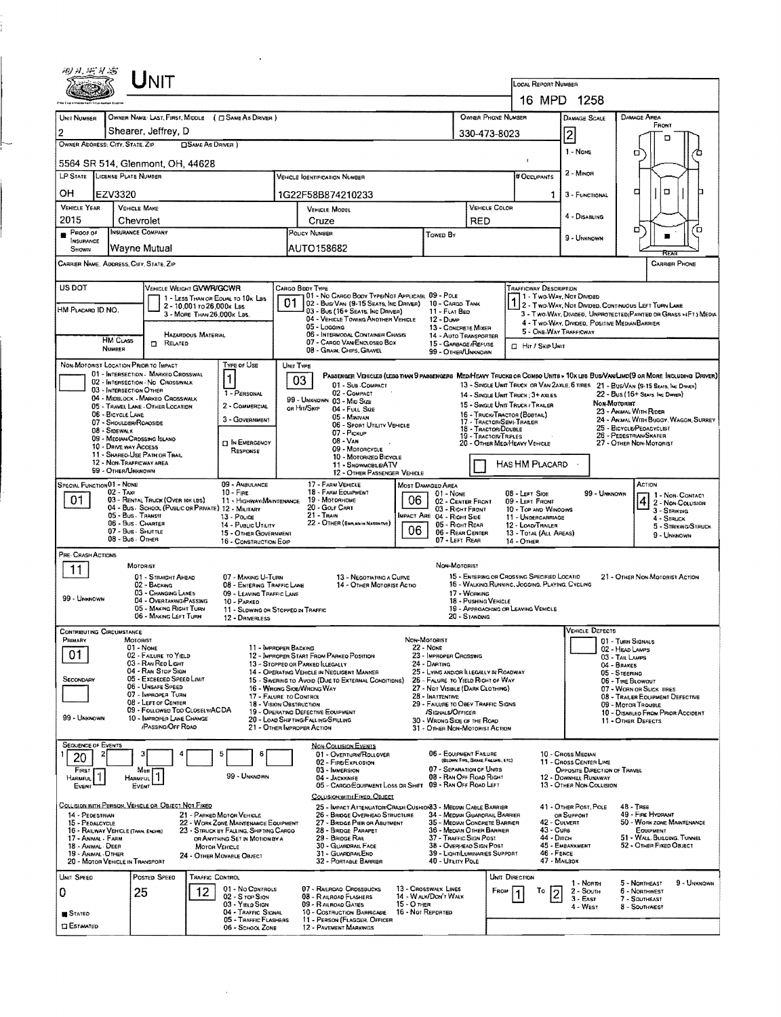|                                                                                                                                                                                                                                                                                                                                                       |                                                                                                                                 | $U$ NIT                                                                  |                            |                                                                  |           |                                                                                                                                     |                                    |                                                                                             |                                                                        |                        |                                                                                                |                                                                                  |                                                                                             |                                                                                                                        |             |  |  |
|-------------------------------------------------------------------------------------------------------------------------------------------------------------------------------------------------------------------------------------------------------------------------------------------------------------------------------------------------------|---------------------------------------------------------------------------------------------------------------------------------|--------------------------------------------------------------------------|----------------------------|------------------------------------------------------------------|-----------|-------------------------------------------------------------------------------------------------------------------------------------|------------------------------------|---------------------------------------------------------------------------------------------|------------------------------------------------------------------------|------------------------|------------------------------------------------------------------------------------------------|----------------------------------------------------------------------------------|---------------------------------------------------------------------------------------------|------------------------------------------------------------------------------------------------------------------------|-------------|--|--|
|                                                                                                                                                                                                                                                                                                                                                       |                                                                                                                                 |                                                                          |                            |                                                                  |           |                                                                                                                                     | LOCAL REPORT NUMBER                |                                                                                             |                                                                        |                        |                                                                                                |                                                                                  |                                                                                             |                                                                                                                        |             |  |  |
| OWNER NAME: LAST, FIRST, MIDDLE ( C SAME AS DRIVER )<br>OWNER PHONE NUMBER                                                                                                                                                                                                                                                                            |                                                                                                                                 |                                                                          |                            |                                                                  |           |                                                                                                                                     |                                    |                                                                                             |                                                                        |                        |                                                                                                | 16 MPD 1258                                                                      |                                                                                             |                                                                                                                        |             |  |  |
| UNIT NUMBER<br>$\overline{2}$                                                                                                                                                                                                                                                                                                                         |                                                                                                                                 | Shearer, Jeffrey, D                                                      |                            |                                                                  |           |                                                                                                                                     |                                    |                                                                                             |                                                                        |                        |                                                                                                | <b>DAMAGE SCALE</b>                                                              |                                                                                             | <b>DAMAGE AREA</b><br>FRONT                                                                                            |             |  |  |
| 330-473-8023<br>OWNER ADDRESS: CITY, STATE, ZIP<br><b>CISAME AS DRIVER</b> )                                                                                                                                                                                                                                                                          |                                                                                                                                 |                                                                          |                            |                                                                  |           |                                                                                                                                     |                                    |                                                                                             |                                                                        |                        |                                                                                                | 2                                                                                |                                                                                             |                                                                                                                        |             |  |  |
|                                                                                                                                                                                                                                                                                                                                                       |                                                                                                                                 | 5564 SR 514, Glenmont, OH, 44628                                         |                            |                                                                  |           |                                                                                                                                     |                                    |                                                                                             |                                                                        |                        |                                                                                                | 1 - None                                                                         |                                                                                             | α                                                                                                                      |             |  |  |
|                                                                                                                                                                                                                                                                                                                                                       |                                                                                                                                 | LP STATE LICENSE PLATE NUMBER                                            |                            |                                                                  |           | <b>VEHICLE IGENTIFICATION NUMBER</b>                                                                                                | $2 -$ MINOR<br># OCCUPANTS         |                                                                                             |                                                                        |                        |                                                                                                |                                                                                  |                                                                                             |                                                                                                                        |             |  |  |
| OН                                                                                                                                                                                                                                                                                                                                                    | EZV3320                                                                                                                         |                                                                          |                            |                                                                  |           | 1G22F58B874210233                                                                                                                   |                                    |                                                                                             |                                                                        |                        | 1.                                                                                             | 3 - FUNCTIONAL                                                                   |                                                                                             | O<br>о                                                                                                                 |             |  |  |
| <b>VEHICLE YEAR</b><br>2015                                                                                                                                                                                                                                                                                                                           |                                                                                                                                 | <b>VEHICLE MAKE</b>                                                      |                            |                                                                  |           | <b>VEHICLE MODEL</b>                                                                                                                |                                    |                                                                                             |                                                                        | VEHICLE COLOR          |                                                                                                | 4 - Disabling                                                                    |                                                                                             |                                                                                                                        |             |  |  |
| Proof of                                                                                                                                                                                                                                                                                                                                              |                                                                                                                                 | Chevrolet<br>INSURANCE COMPANY                                           |                            |                                                                  |           | Cruze<br>POLICY NUMBER                                                                                                              |                                    | Towed By                                                                                    | <b>RED</b>                                                             |                        |                                                                                                |                                                                                  |                                                                                             | ۵                                                                                                                      | ם׳          |  |  |
| <b>INSURANCE</b><br>SHOWN                                                                                                                                                                                                                                                                                                                             |                                                                                                                                 | Wayne Mutual                                                             |                            |                                                                  |           | AUTO158682                                                                                                                          |                                    |                                                                                             |                                                                        |                        |                                                                                                | 9 - UNKNOWN                                                                      |                                                                                             |                                                                                                                        |             |  |  |
| CARRIER NAME, ADDRESS, CITY, STATE, ZIP<br><b>CARRIER PHONE</b>                                                                                                                                                                                                                                                                                       |                                                                                                                                 |                                                                          |                            |                                                                  |           |                                                                                                                                     |                                    |                                                                                             |                                                                        |                        |                                                                                                |                                                                                  |                                                                                             |                                                                                                                        |             |  |  |
| US DOT                                                                                                                                                                                                                                                                                                                                                | VEHICLE WEIGHT GVWR/GCWR<br>CARGO BODY TYPE<br><b>TRAFFICWAY DESCRIPTION</b><br>01 - No CARGO BODY TYPE/NOT APPLICABL 09 - POLE |                                                                          |                            |                                                                  |           |                                                                                                                                     |                                    |                                                                                             |                                                                        |                        |                                                                                                |                                                                                  |                                                                                             |                                                                                                                        |             |  |  |
| HM Placard ID NO.                                                                                                                                                                                                                                                                                                                                     |                                                                                                                                 |                                                                          | 2 - 10,001 to 26,000k Las  | 1 - LESS THAN OR EQUAL TO 10K LBS                                | 01        | 02 - Bus/Van (9-15 Seats, Inc Driver)<br>03 - Bus (16+ Seats, Inc Driver)                                                           |                                    | 10 - CARGO TANK<br>11 - FLAT BED                                                            |                                                                        |                        | 1 - Two-Way, Not Divided                                                                       |                                                                                  |                                                                                             | 1 - T WO-WAY, NOT LIVEREL<br>2 - T WO-WAY, NOT DIVIDED, CONTINUOUS LEFT TURN LANE                                      |             |  |  |
|                                                                                                                                                                                                                                                                                                                                                       |                                                                                                                                 |                                                                          | 3 - MORE THAN 26,000K LBS. |                                                                  |           | 04 - VEHICLE TOWING ANOTHER VEHICLE<br>05 - Logging                                                                                 |                                    | 12 - Duwe<br>13 - CONCRETE MIXER                                                            |                                                                        |                        |                                                                                                | 4 - Two-Way, Divided, Positive Median Barrier                                    |                                                                                             | 3 - Two-Way, Divided, UNPROTECTED (PAINTED OR GRASS >4FT.) MEDIA                                                       |             |  |  |
|                                                                                                                                                                                                                                                                                                                                                       | <b>HM CLASS</b>                                                                                                                 | <b>D</b> RELATED                                                         | HAZARDOUS MATERIAL         |                                                                  |           | 06 - INTERMODAL CONTAINER CHASIS<br>07 - CARGO VAN ENCLOSEO BOX                                                                     |                                    | 14 - AUTO TRANSPORTER<br>15 - GARBAGE /REFUSE                                               |                                                                        |                        | <b>CI HIT / SKIP UNIT</b>                                                                      | 5 - ONE-WAY TRAFFICWAY                                                           |                                                                                             |                                                                                                                        |             |  |  |
|                                                                                                                                                                                                                                                                                                                                                       | NUMBER                                                                                                                          | NON-MOTORIST LOCATION PRIOR TO IMPACT                                    |                            | TYPE OF USE                                                      |           | 08 - Gram, Chips, Gravel                                                                                                            |                                    | 99 - OTHER/UNKNOWN                                                                          |                                                                        |                        |                                                                                                |                                                                                  |                                                                                             |                                                                                                                        |             |  |  |
|                                                                                                                                                                                                                                                                                                                                                       |                                                                                                                                 | 01 - INTERSECTION - MARKED CROSSWAL<br>02 - INTERSECTION - NO CROSSWALK  |                            | 1                                                                | UNIT TYPE | PASSENGER VEHICLES (LESS THAN 9 PASSENGERS MEDIMEANY TRUCKS OR COMBO UNITS > 10K LBS BUS/VAN/LIMO(9 OR MORE INCLUDING DRIVER)<br>03 |                                    |                                                                                             |                                                                        |                        |                                                                                                |                                                                                  |                                                                                             |                                                                                                                        |             |  |  |
|                                                                                                                                                                                                                                                                                                                                                       |                                                                                                                                 | 03 - INTERSECTION OTHER<br>04 - MIDBLOCK - MARKEO CROSSWALK              |                            | 1 - PERSONAL                                                     |           | 01 - Sub-Compact<br>02 - COMPACT                                                                                                    |                                    |                                                                                             |                                                                        |                        | 14 - SINGLE UNIT TRUCK: 3+ AXLES                                                               |                                                                                  |                                                                                             | 13 - SINGLE UNIT TRUCK OR VAN 2AXLE, 6 TIRES 21 - BUS/VAN (9-15 SEAIS, INC DRIVER)<br>22 - BUS (16+ SEATS, INC DIRECT) |             |  |  |
|                                                                                                                                                                                                                                                                                                                                                       | 06 - BICYCLE LANE                                                                                                               | 05 - TRAVEL LANE - OTHER LOCATION                                        |                            | 2 - COMMERCIAL                                                   |           | 99 - UNKNOWN 03 - MID SIZE<br>OR HIT/SKIP<br>04 - FULL SIZE<br>05 - Minivan                                                         |                                    |                                                                                             |                                                                        |                        | 15 - SINGLE UNIT TRUCK / TRAILER<br>16 - TRUCK/TRACTOR (BOBTAIL)                               |                                                                                  | Non-Mororust                                                                                | 23 - ANIMAL WITH RIDER                                                                                                 |             |  |  |
|                                                                                                                                                                                                                                                                                                                                                       | 08 - SIDEWALK                                                                                                                   | 07 - SHOULDER/ROADSIDE                                                   |                            | 3 - GOVERNMENT                                                   |           | 06 - SPORT UTILITY VEHICLE<br>07 - Pickup                                                                                           |                                    |                                                                                             | 18 - Tractor/Double                                                    |                        | 17 - TRACTOR/SENI-TRAILER                                                                      |                                                                                  | 24 - Animal With Buggy, Wagon, Surrey<br>25 - BICYCLE/PEOACYCLIST<br>26 - PEDESTRIAN/SKATER |                                                                                                                        |             |  |  |
|                                                                                                                                                                                                                                                                                                                                                       |                                                                                                                                 | 09 - MEDIAN/CROSSING ISLAND<br>10 - DRNE WAY ACCESS                      |                            | <b>IN EMERGENCY</b><br>RESPONSE                                  |           | 19 - TRACTOR/TRIPLES<br>$08 - V_{AH}$<br>09 - MOTORCYCLE                                                                            |                                    |                                                                                             |                                                                        |                        |                                                                                                | 20 - OTHER MED/HEAVY VEHICLE<br>27 - OTHER NON-MOTORIST                          |                                                                                             |                                                                                                                        |             |  |  |
| 11 - SHAREO-USE PATH OR TRAIL<br>10 - MOTORIZEO BICYCLE<br>12 - NON-TRAFFICWAY AREA<br>HAS HM PLACARD<br>11 - SNOWMOBLE/ATV<br>99 - OTHER/UNKNOWN                                                                                                                                                                                                     |                                                                                                                                 |                                                                          |                            |                                                                  |           |                                                                                                                                     |                                    |                                                                                             |                                                                        |                        |                                                                                                |                                                                                  |                                                                                             |                                                                                                                        |             |  |  |
| SPECIAL FUNCTION 01 - NONE                                                                                                                                                                                                                                                                                                                            | 12 - OTHER PASSENGER VEHICLE                                                                                                    | Most Damaged Area                                                        |                            |                                                                  |           |                                                                                                                                     |                                    | ACTION                                                                                      |                                                                        |                        |                                                                                                |                                                                                  |                                                                                             |                                                                                                                        |             |  |  |
| 09 - AMBULANCE<br>02 - Taxi<br>$10 -$ Fire<br>01<br>03 - RENTAL TRUCK (OVER 10K LBS)<br>11 - HIGHWAY/MAINTENANCE                                                                                                                                                                                                                                      |                                                                                                                                 |                                                                          |                            |                                                                  |           | 18 - FARM EQUIPMENT<br>01 - None<br>19 - Мотояноме<br>06.<br>02 - CENTER FRONT                                                      |                                    |                                                                                             |                                                                        |                        | 08 - LEFT SIDE<br>99 - Unknown<br>1 - Non-Contact<br>09 - LEFT FRONT<br>4 2 - Non-Collision    |                                                                                  |                                                                                             |                                                                                                                        |             |  |  |
|                                                                                                                                                                                                                                                                                                                                                       |                                                                                                                                 | 05 - Bus Transit                                                         |                            | 04 - Bus. SCHOOL (PUBLIC OR PRIVATE) 12 - MILITARY<br>13 - Pouce |           | 20 - GOLF CART<br>21 - TRAIN                                                                                                        |                                    | 03 - RIGHT FRONT<br>MPACT ARE 04 - RIGHT SIDE                                               |                                                                        |                        | 10 - Top and Windows<br>11 - UNDERCARRIAGE                                                     |                                                                                  |                                                                                             | 3 - STRIKING<br>4 - STRUCK                                                                                             |             |  |  |
|                                                                                                                                                                                                                                                                                                                                                       |                                                                                                                                 | 06 - Bus - Charter<br>07 - Bus - SHUTTLE<br>08 - Bus - OTHER             |                            | 14 - Pusuc UTIUTY<br>15 - OTHER GOVERNMENT                       |           | 22 - OTHER (Explain in Narraative)                                                                                                  | 06                                 | 05 - Right Rear<br>06 - REAR CENTER                                                         |                                                                        |                        | 12 - LOAD/TRAILER<br>13 - TOTAL (ALL AREAS)                                                    |                                                                                  |                                                                                             | 5 - STRIKING/STRUCK<br>9 - Unknown                                                                                     |             |  |  |
| PRE-CRASH ACTIONS                                                                                                                                                                                                                                                                                                                                     |                                                                                                                                 |                                                                          |                            | 16 - CONSTRUCTION EGIP                                           |           |                                                                                                                                     |                                    | 07 - LEFT REAR                                                                              |                                                                        |                        | 14 - Отнев                                                                                     |                                                                                  |                                                                                             |                                                                                                                        |             |  |  |
| 11                                                                                                                                                                                                                                                                                                                                                    |                                                                                                                                 | MOTORIST                                                                 |                            |                                                                  |           |                                                                                                                                     |                                    | Non-Moronist                                                                                |                                                                        |                        |                                                                                                |                                                                                  |                                                                                             |                                                                                                                        |             |  |  |
|                                                                                                                                                                                                                                                                                                                                                       |                                                                                                                                 | 01 - STRAIGHT AHEAD<br>02 - BACKING                                      |                            | 07 - MAKING U-TURN<br>08 - ENTERING TRAFFIC LANE                 |           | 13 - NEGOTIATING A CURVE<br>14 - OTHER MOTORIST ACTIO                                                                               |                                    |                                                                                             |                                                                        |                        | 15 - ENTERING OR CROSSING SPECIFIED LOCATIO<br>16 - WALKING RUNNINC, JOGGING, PLAYING, CYCLING |                                                                                  |                                                                                             | 21 - OTHER NON-MOTORIST ACTION                                                                                         |             |  |  |
| 99 - UNKNOWN                                                                                                                                                                                                                                                                                                                                          |                                                                                                                                 | 03 - CHANGING LANES<br>04 - Overtaking/Passing<br>05 - MAKING RIGHT TURN |                            | 09 - LEAVING TRAFFIC LANE<br>10 - PARKED                         |           |                                                                                                                                     |                                    |                                                                                             | 17 - WORKING<br>18 - Pushing Vericle                                   |                        | 19 - APPROACHING OR LEAVING VEHICLE                                                            |                                                                                  |                                                                                             |                                                                                                                        |             |  |  |
|                                                                                                                                                                                                                                                                                                                                                       |                                                                                                                                 | 06 - MAKING LEFT TURN                                                    |                            | 11 - SLOWING OR STOPPEO IN TRAFFIC<br>12 - DRIVERLESS            |           |                                                                                                                                     |                                    |                                                                                             | 20 - Standing                                                          |                        |                                                                                                |                                                                                  |                                                                                             |                                                                                                                        |             |  |  |
| <b>CONTRIBUTING CIRCUMSTANCE</b><br>PRIMARY                                                                                                                                                                                                                                                                                                           |                                                                                                                                 | <b>MOTORIST</b>                                                          |                            |                                                                  |           |                                                                                                                                     |                                    | Non-Motorist                                                                                |                                                                        |                        |                                                                                                | VEHICLE DEFECTS                                                                  | 01 - TURN SIGNALS                                                                           |                                                                                                                        |             |  |  |
| 01                                                                                                                                                                                                                                                                                                                                                    |                                                                                                                                 | 01 - None<br>02 - FAILURE TO YIELD                                       |                            | 11 - IMPROPER BACKING                                            |           | 12 - IMPROPER START FROM PARKEO POSITION                                                                                            |                                    | 22 - None<br>23 - IMPROPER CROSSING                                                         |                                                                        |                        |                                                                                                |                                                                                  | 02 - HEAD LAMPS<br>03 - TAIL LAMPS                                                          |                                                                                                                        |             |  |  |
|                                                                                                                                                                                                                                                                                                                                                       |                                                                                                                                 | 03 - RAN RED LIGHT<br>04 - RAN STOP SIGN<br>05 - Exceeded Speed Limit    |                            |                                                                  |           | 13 - STOPPED OR PARKED ILLEGALLY<br>14 - OPERATING VEHICLE IN NEGLIGENT MANNER                                                      |                                    | 24 - DARTING<br>25 - LYING ANDIOR ILLEGALLY IN ROADWAY<br>26 - FALURE TO YIELD RIGHT OF WAY |                                                                        |                        |                                                                                                |                                                                                  | 04 - BRAKES<br>05 - STEERING                                                                |                                                                                                                        |             |  |  |
| SECONDARY                                                                                                                                                                                                                                                                                                                                             |                                                                                                                                 | 06 - UNSAFE SPEED<br>07 - IMPROPER TURN                                  |                            | 17 - FALURE TO CONTROL                                           |           | 15 - Swering to Avoid (Due to External Conditions)<br>16 - WRONG SIDE/WRONG WAY                                                     |                                    | 27 - NOT VISIBLE (DARK CLOTHING)<br>28 - INATTENTIVE                                        |                                                                        |                        |                                                                                                |                                                                                  | 06 - THE BLOWOUT                                                                            | 07 - WORN OR SLICK TIRES<br>08 - TRAILER EQUIPMENT DEFECTIVE                                                           |             |  |  |
|                                                                                                                                                                                                                                                                                                                                                       |                                                                                                                                 | 08 - LEFT OF CENTER<br>09 - FOLLOWED TOO CLOSELY/ACDA                    |                            | 18 - VISION OBSTRUCTION                                          |           | 19 - OPERATING DEFECTIVE EQUIPMENT                                                                                                  | 29 - FAILURE TO OBEY TRAFFIC SIGNS |                                                                                             | 09 - Moron Thousle<br>10 - DISABLED FROM PRIOR ACCIDENT                |                        |                                                                                                |                                                                                  |                                                                                             |                                                                                                                        |             |  |  |
| 99 - Unknown                                                                                                                                                                                                                                                                                                                                          |                                                                                                                                 | 10 - IMPROPER LANE CHANGE<br><b>/PASSING/OFF ROAD</b>                    |                            |                                                                  |           | 20 - LOAD SHIFTING/FALLING/SPILLING<br>21 - OTHER IMPROPER ACTION                                                                   |                                    | /SIGNALS/OFFICER<br>30 - WRONG SIDE OF THE ROAD<br>31 - OTHER NON-MOTORIST ACTION           |                                                                        |                        |                                                                                                |                                                                                  |                                                                                             | 11 - OTHER DEFECTS                                                                                                     |             |  |  |
| <b>SEQUENCE OF EVENTS</b>                                                                                                                                                                                                                                                                                                                             |                                                                                                                                 |                                                                          |                            |                                                                  |           | NON-COLLISION EVENTS                                                                                                                |                                    |                                                                                             |                                                                        |                        |                                                                                                |                                                                                  |                                                                                             |                                                                                                                        |             |  |  |
| 20                                                                                                                                                                                                                                                                                                                                                    | 2                                                                                                                               |                                                                          |                            | ε                                                                |           | 01 - OVERTURN/ROLLOVER<br>02 - FIRE/EXPLOSION                                                                                       |                                    | 06 - EQUIPMENT FAILURE                                                                      | (BLOWN TIRE, BRAKE FAILURE, ETC)                                       |                        |                                                                                                | 10 - Cross Median<br>11 - CROSS CENTER LINE                                      |                                                                                             |                                                                                                                        |             |  |  |
| FIRST<br><b>HARMFUL</b><br>EVENT                                                                                                                                                                                                                                                                                                                      |                                                                                                                                 | Most<br><b>HARMFUL</b><br>EVENT                                          |                            | 99 - UNKNOWN                                                     |           | 03 - IMMERSION<br>04 - JACKKNIFE<br>05 - CARGO/EQUIPMENT LOSS OR SHIFT                                                              |                                    | 07 - SEPARATION OF UNITS<br>08 - RAN OFF ROAD RIGHT<br>09 - RAN OFF ROAD LEFT               |                                                                        |                        |                                                                                                | OPPOSITE DIRECTION OF TRAVEL<br>12 - DOWNHEL RUNAWAY<br>13 - OTHER NON-COLLISION |                                                                                             |                                                                                                                        |             |  |  |
|                                                                                                                                                                                                                                                                                                                                                       |                                                                                                                                 |                                                                          |                            |                                                                  |           | COLLISION WITH FIXED, OBJECT                                                                                                        |                                    |                                                                                             |                                                                        |                        |                                                                                                |                                                                                  |                                                                                             |                                                                                                                        |             |  |  |
| 14 - PEDESTRIAN                                                                                                                                                                                                                                                                                                                                       |                                                                                                                                 | COLLISION WITH PERSON, VEHICLE OR OBJECT NOT FIXED                       |                            | 21 - PARKED MOTOR VEHICLE                                        |           | 25 - IMPACT ATTENUATOR/CRASH CUSHION33 - MEDIAN CABLE BARRIER<br>26 - BRIDGE OVERHEAD STRUCTURE                                     |                                    | 34 - MEDIAN GUARDRAIL BARRIER                                                               |                                                                        |                        |                                                                                                | 41 - OTHER POST, POLE<br>OR SUPPORT                                              |                                                                                             | 48 - TREE<br>49 - FIRE HYDRANT                                                                                         |             |  |  |
| 27 - BRIDGE PIER OR ABUTMENT<br>35 - MEDIAN CONCRETE BARRIER<br>42 - CULVERT<br>15 - PEDALCYCLE<br>22 - WORK ZONE MAINTENANCE EQUIPMENT<br>16 - RAILWAY VEHICLE (TAAM, ENGINE)<br>23 - STRUCK BY FALLING, SHIFTING CARGO<br>28 - BRIDGE PARAPET<br>36 - MEOAN OTHER BARRIER<br>$43 - C$ urs                                                           |                                                                                                                                 |                                                                          |                            |                                                                  |           |                                                                                                                                     |                                    |                                                                                             | 50 - WORK ZONE MAINTENANCE<br>EQUIPMENT<br>51 - WALL, BUILOING, TUNNEL |                        |                                                                                                |                                                                                  |                                                                                             |                                                                                                                        |             |  |  |
| 29 - BRIDGE RAIL<br>37 - TRAFFIC SIGN POST<br>44 - Олсн<br>17 - Animal - Farm<br>OR ANYTHING SET IN MOTION BY A<br>30 - GUARDRAIL FACE<br>38 - Overhead Sign Post<br>45 - EMBANKMENT<br>18 - ANIMAL DEER<br><b>MOTOR VEHICLE</b><br>31 - GUARDRAILEND<br>39 - LIGHT/LUMINARIES SUPPORT<br>46 - FENCE<br>19 - ANMAL OTHER<br>24 - OTHER MOVABLE OBJECT |                                                                                                                                 |                                                                          |                            |                                                                  |           |                                                                                                                                     |                                    |                                                                                             | 52 - OTHER FIXED OBJECT                                                |                        |                                                                                                |                                                                                  |                                                                                             |                                                                                                                        |             |  |  |
|                                                                                                                                                                                                                                                                                                                                                       |                                                                                                                                 | 20 - MOTOR VEHICLE IN TRANSPORT                                          |                            |                                                                  |           | 32 - PORTABLE BARRIER                                                                                                               |                                    | 40 - UTILITY POLE                                                                           |                                                                        |                        | 47 - MAILBOX                                                                                   |                                                                                  |                                                                                             |                                                                                                                        |             |  |  |
| UNIT SPEED                                                                                                                                                                                                                                                                                                                                            |                                                                                                                                 | POSTED SPEED                                                             |                            | TRAFFIC CONTROL<br>01 - No CONTROLS                              |           | 07 - RAILROAD CROSSBUCKS                                                                                                            |                                    | 13 - CROSSWALK LINES                                                                        |                                                                        | UNIT DIRECTION<br>FROM | Т٥                                                                                             | 1 - North<br>2 - South                                                           |                                                                                             | 5 - NORTHEAST<br>6 - NORTHWEST                                                                                         | 9 - Unknown |  |  |
| 0                                                                                                                                                                                                                                                                                                                                                     |                                                                                                                                 | 25                                                                       | 12                         | 02 - S rop Sign<br>03 - YIELD SIGN                               |           | 08 - RAILROAD FLASHERS<br>09 - RAILROAD GATES                                                                                       | 15 - О тнен                        | 14 - WALK/DON'T WALK                                                                        |                                                                        |                        | l2                                                                                             | $3 - East$<br>4 - West                                                           |                                                                                             | 7 - SOUTHEAST<br>8 - SOUTHWEST                                                                                         |             |  |  |
| STATED<br><b>CESTAMATED</b>                                                                                                                                                                                                                                                                                                                           |                                                                                                                                 |                                                                          |                            | 04 - TRAFFIC SIGNAL<br>05 - TRAFFIC FLASHERS<br>06 - SCHOOL ZONE |           | 10 - COSTRUCTION BARRICADE<br>11 - PERSON (FLAGGER, OFFICER<br>12 - PAVEMENT MARKINGS                                               | 16 - Not Reported                  |                                                                                             |                                                                        |                        |                                                                                                |                                                                                  |                                                                                             |                                                                                                                        |             |  |  |
|                                                                                                                                                                                                                                                                                                                                                       |                                                                                                                                 |                                                                          |                            |                                                                  |           |                                                                                                                                     |                                    |                                                                                             |                                                                        |                        |                                                                                                |                                                                                  |                                                                                             |                                                                                                                        |             |  |  |

 $\langle \cdot \rangle$ 

 $\sim 10^7$ 

į,